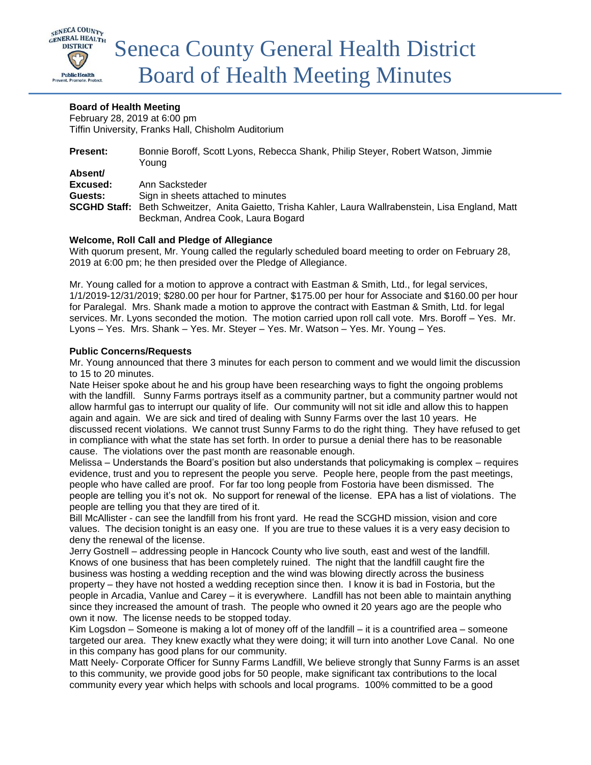

# **Board of Health Meeting**

February 28, 2019 at 6:00 pm Tiffin University, Franks Hall, Chisholm Auditorium

| <b>Present:</b> | Bonnie Boroff, Scott Lyons, Rebecca Shank, Philip Steyer, Robert Watson, Jimmie<br>Young                    |
|-----------------|-------------------------------------------------------------------------------------------------------------|
| Absent/         |                                                                                                             |
| Excused:        | Ann Sacksteder                                                                                              |
| Guests:         | Sign in sheets attached to minutes                                                                          |
|                 | <b>SCGHD Staff:</b> Beth Schweitzer, Anita Gaietto, Trisha Kahler, Laura Wallrabenstein, Lisa England, Matt |
|                 | Beckman, Andrea Cook, Laura Bogard                                                                          |

## **Welcome, Roll Call and Pledge of Allegiance**

With quorum present, Mr. Young called the regularly scheduled board meeting to order on February 28, 2019 at 6:00 pm; he then presided over the Pledge of Allegiance.

Mr. Young called for a motion to approve a contract with Eastman & Smith, Ltd., for legal services, 1/1/2019-12/31/2019; \$280.00 per hour for Partner, \$175.00 per hour for Associate and \$160.00 per hour for Paralegal. Mrs. Shank made a motion to approve the contract with Eastman & Smith, Ltd. for legal services. Mr. Lyons seconded the motion. The motion carried upon roll call vote. Mrs. Boroff – Yes. Mr. Lyons – Yes. Mrs. Shank – Yes. Mr. Steyer – Yes. Mr. Watson – Yes. Mr. Young – Yes.

## **Public Concerns/Requests**

Mr. Young announced that there 3 minutes for each person to comment and we would limit the discussion to 15 to 20 minutes.

Nate Heiser spoke about he and his group have been researching ways to fight the ongoing problems with the landfill. Sunny Farms portrays itself as a community partner, but a community partner would not allow harmful gas to interrupt our quality of life. Our community will not sit idle and allow this to happen again and again. We are sick and tired of dealing with Sunny Farms over the last 10 years. He discussed recent violations. We cannot trust Sunny Farms to do the right thing. They have refused to get in compliance with what the state has set forth. In order to pursue a denial there has to be reasonable cause. The violations over the past month are reasonable enough.

Melissa – Understands the Board's position but also understands that policymaking is complex – requires evidence, trust and you to represent the people you serve. People here, people from the past meetings, people who have called are proof. For far too long people from Fostoria have been dismissed. The people are telling you it's not ok. No support for renewal of the license. EPA has a list of violations. The people are telling you that they are tired of it.

Bill McAllister - can see the landfill from his front yard. He read the SCGHD mission, vision and core values. The decision tonight is an easy one. If you are true to these values it is a very easy decision to deny the renewal of the license.

Jerry Gostnell – addressing people in Hancock County who live south, east and west of the landfill. Knows of one business that has been completely ruined. The night that the landfill caught fire the business was hosting a wedding reception and the wind was blowing directly across the business property – they have not hosted a wedding reception since then. I know it is bad in Fostoria, but the people in Arcadia, Vanlue and Carey – it is everywhere. Landfill has not been able to maintain anything since they increased the amount of trash. The people who owned it 20 years ago are the people who own it now. The license needs to be stopped today.

Kim Logsdon – Someone is making a lot of money off of the landfill – it is a countrified area – someone targeted our area. They knew exactly what they were doing; it will turn into another Love Canal. No one in this company has good plans for our community.

Matt Neely- Corporate Officer for Sunny Farms Landfill, We believe strongly that Sunny Farms is an asset to this community, we provide good jobs for 50 people, make significant tax contributions to the local community every year which helps with schools and local programs. 100% committed to be a good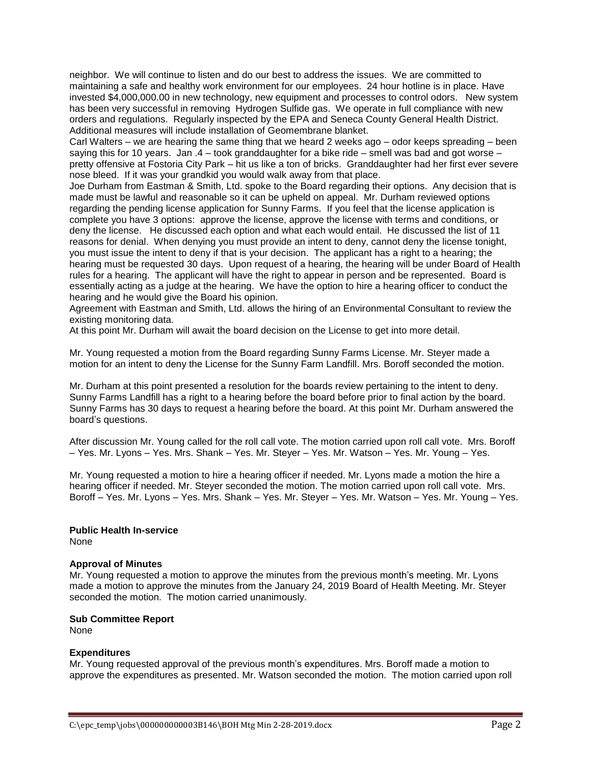neighbor. We will continue to listen and do our best to address the issues. We are committed to maintaining a safe and healthy work environment for our employees. 24 hour hotline is in place. Have invested \$4,000,000.00 in new technology, new equipment and processes to control odors. New system has been very successful in removing Hydrogen Sulfide gas. We operate in full compliance with new orders and regulations. Regularly inspected by the EPA and Seneca County General Health District. Additional measures will include installation of Geomembrane blanket.

Carl Walters – we are hearing the same thing that we heard 2 weeks ago – odor keeps spreading – been saying this for 10 years. Jan .4 – took granddaughter for a bike ride – smell was bad and got worse – pretty offensive at Fostoria City Park – hit us like a ton of bricks. Granddaughter had her first ever severe nose bleed. If it was your grandkid you would walk away from that place.

Joe Durham from Eastman & Smith, Ltd. spoke to the Board regarding their options. Any decision that is made must be lawful and reasonable so it can be upheld on appeal. Mr. Durham reviewed options regarding the pending license application for Sunny Farms. If you feel that the license application is complete you have 3 options: approve the license, approve the license with terms and conditions, or deny the license. He discussed each option and what each would entail. He discussed the list of 11 reasons for denial. When denying you must provide an intent to deny, cannot deny the license tonight, you must issue the intent to deny if that is your decision. The applicant has a right to a hearing; the hearing must be requested 30 days. Upon request of a hearing, the hearing will be under Board of Health rules for a hearing. The applicant will have the right to appear in person and be represented. Board is essentially acting as a judge at the hearing. We have the option to hire a hearing officer to conduct the hearing and he would give the Board his opinion.

Agreement with Eastman and Smith, Ltd. allows the hiring of an Environmental Consultant to review the existing monitoring data.

At this point Mr. Durham will await the board decision on the License to get into more detail.

Mr. Young requested a motion from the Board regarding Sunny Farms License. Mr. Steyer made a motion for an intent to deny the License for the Sunny Farm Landfill. Mrs. Boroff seconded the motion.

Mr. Durham at this point presented a resolution for the boards review pertaining to the intent to deny. Sunny Farms Landfill has a right to a hearing before the board before prior to final action by the board. Sunny Farms has 30 days to request a hearing before the board. At this point Mr. Durham answered the board's questions.

After discussion Mr. Young called for the roll call vote. The motion carried upon roll call vote. Mrs. Boroff – Yes. Mr. Lyons – Yes. Mrs. Shank – Yes. Mr. Steyer – Yes. Mr. Watson – Yes. Mr. Young – Yes.

Mr. Young requested a motion to hire a hearing officer if needed. Mr. Lyons made a motion the hire a hearing officer if needed. Mr. Steyer seconded the motion. The motion carried upon roll call vote. Mrs. Boroff – Yes. Mr. Lyons – Yes. Mrs. Shank – Yes. Mr. Steyer – Yes. Mr. Watson – Yes. Mr. Young – Yes.

#### **Public Health In-service** None

# **Approval of Minutes**

Mr. Young requested a motion to approve the minutes from the previous month's meeting. Mr. Lyons made a motion to approve the minutes from the January 24, 2019 Board of Health Meeting. Mr. Steyer seconded the motion. The motion carried unanimously.

## **Sub Committee Report**

None

## **Expenditures**

Mr. Young requested approval of the previous month's expenditures. Mrs. Boroff made a motion to approve the expenditures as presented. Mr. Watson seconded the motion. The motion carried upon roll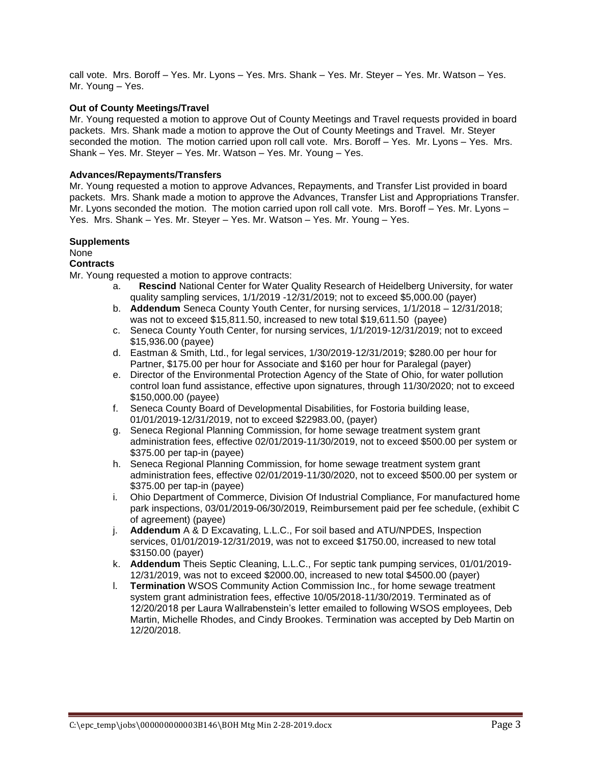call vote. Mrs. Boroff – Yes. Mr. Lyons – Yes. Mrs. Shank – Yes. Mr. Steyer – Yes. Mr. Watson – Yes. Mr. Young – Yes.

# **Out of County Meetings/Travel**

Mr. Young requested a motion to approve Out of County Meetings and Travel requests provided in board packets. Mrs. Shank made a motion to approve the Out of County Meetings and Travel. Mr. Steyer seconded the motion. The motion carried upon roll call vote. Mrs. Boroff – Yes. Mr. Lyons – Yes. Mrs. Shank – Yes. Mr. Steyer – Yes. Mr. Watson – Yes. Mr. Young – Yes.

## **Advances/Repayments/Transfers**

Mr. Young requested a motion to approve Advances, Repayments, and Transfer List provided in board packets. Mrs. Shank made a motion to approve the Advances, Transfer List and Appropriations Transfer. Mr. Lyons seconded the motion. The motion carried upon roll call vote. Mrs. Boroff – Yes. Mr. Lyons – Yes. Mrs. Shank – Yes. Mr. Steyer – Yes. Mr. Watson – Yes. Mr. Young – Yes.

#### **Supplements**

# None

# **Contracts**

Mr. Young requested a motion to approve contracts:

- a. **Rescind** National Center for Water Quality Research of Heidelberg University, for water quality sampling services, 1/1/2019 -12/31/2019; not to exceed \$5,000.00 (payer)
- b. **Addendum** Seneca County Youth Center, for nursing services, 1/1/2018 12/31/2018; was not to exceed \$15,811.50, increased to new total \$19,611.50 (payee)
- c. Seneca County Youth Center, for nursing services, 1/1/2019-12/31/2019; not to exceed \$15,936.00 (payee)
- d. Eastman & Smith, Ltd., for legal services, 1/30/2019-12/31/2019; \$280.00 per hour for Partner, \$175.00 per hour for Associate and \$160 per hour for Paralegal (payer)
- e. Director of the Environmental Protection Agency of the State of Ohio, for water pollution control loan fund assistance, effective upon signatures, through 11/30/2020; not to exceed \$150,000.00 (payee)
- f. Seneca County Board of Developmental Disabilities, for Fostoria building lease, 01/01/2019-12/31/2019, not to exceed \$22983.00, (payer)
- g. Seneca Regional Planning Commission, for home sewage treatment system grant administration fees, effective 02/01/2019-11/30/2019, not to exceed \$500.00 per system or \$375.00 per tap-in (payee)
- h. Seneca Regional Planning Commission, for home sewage treatment system grant administration fees, effective 02/01/2019-11/30/2020, not to exceed \$500.00 per system or \$375.00 per tap-in (payee)
- i. Ohio Department of Commerce, Division Of Industrial Compliance, For manufactured home park inspections, 03/01/2019-06/30/2019, Reimbursement paid per fee schedule, (exhibit C of agreement) (payee)
- j. **Addendum** A & D Excavating, L.L.C., For soil based and ATU/NPDES, Inspection services, 01/01/2019-12/31/2019, was not to exceed \$1750.00, increased to new total \$3150.00 (payer)
- k. **Addendum** Theis Septic Cleaning, L.L.C., For septic tank pumping services, 01/01/2019- 12/31/2019, was not to exceed \$2000.00, increased to new total \$4500.00 (payer)
- l. **Termination** WSOS Community Action Commission Inc., for home sewage treatment system grant administration fees, effective 10/05/2018-11/30/2019. Terminated as of 12/20/2018 per Laura Wallrabenstein's letter emailed to following WSOS employees, Deb Martin, Michelle Rhodes, and Cindy Brookes. Termination was accepted by Deb Martin on 12/20/2018.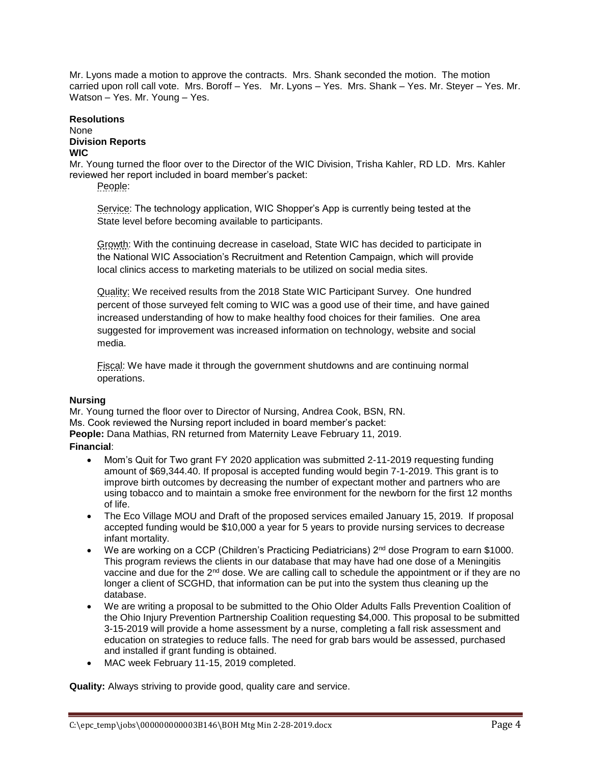Mr. Lyons made a motion to approve the contracts. Mrs. Shank seconded the motion. The motion carried upon roll call vote. Mrs. Boroff – Yes. Mr. Lyons – Yes. Mrs. Shank – Yes. Mr. Steyer – Yes. Mr. Watson – Yes. Mr. Young – Yes.

# **Resolutions**

#### None **Division Reports WIC**

Mr. Young turned the floor over to the Director of the WIC Division, Trisha Kahler, RD LD. Mrs. Kahler reviewed her report included in board member's packet:

People:

Service: The technology application, WIC Shopper's App is currently being tested at the State level before becoming available to participants.

Growth: With the continuing decrease in caseload, State WIC has decided to participate in the National WIC Association's Recruitment and Retention Campaign, which will provide local clinics access to marketing materials to be utilized on social media sites.

Quality: We received results from the 2018 State WIC Participant Survey. One hundred percent of those surveyed felt coming to WIC was a good use of their time, and have gained increased understanding of how to make healthy food choices for their families. One area suggested for improvement was increased information on technology, website and social media.

Fiscal: We have made it through the government shutdowns and are continuing normal operations.

# **Nursing**

Mr. Young turned the floor over to Director of Nursing, Andrea Cook, BSN, RN. Ms. Cook reviewed the Nursing report included in board member's packet: **People:** Dana Mathias, RN returned from Maternity Leave February 11, 2019. **Financial**:

- Mom's Quit for Two grant FY 2020 application was submitted 2-11-2019 requesting funding amount of \$69,344.40. If proposal is accepted funding would begin 7-1-2019. This grant is to improve birth outcomes by decreasing the number of expectant mother and partners who are using tobacco and to maintain a smoke free environment for the newborn for the first 12 months of life.
- The Eco Village MOU and Draft of the proposed services emailed January 15, 2019. If proposal accepted funding would be \$10,000 a year for 5 years to provide nursing services to decrease infant mortality.
- We are working on a CCP (Children's Practicing Pediatricians) 2<sup>nd</sup> dose Program to earn \$1000. This program reviews the clients in our database that may have had one dose of a Meningitis vaccine and due for the 2<sup>nd</sup> dose. We are calling call to schedule the appointment or if they are no longer a client of SCGHD, that information can be put into the system thus cleaning up the database.
- We are writing a proposal to be submitted to the Ohio Older Adults Falls Prevention Coalition of the Ohio Injury Prevention Partnership Coalition requesting \$4,000. This proposal to be submitted 3-15-2019 will provide a home assessment by a nurse, completing a fall risk assessment and education on strategies to reduce falls. The need for grab bars would be assessed, purchased and installed if grant funding is obtained.
- MAC week February 11-15, 2019 completed.

**Quality:** Always striving to provide good, quality care and service.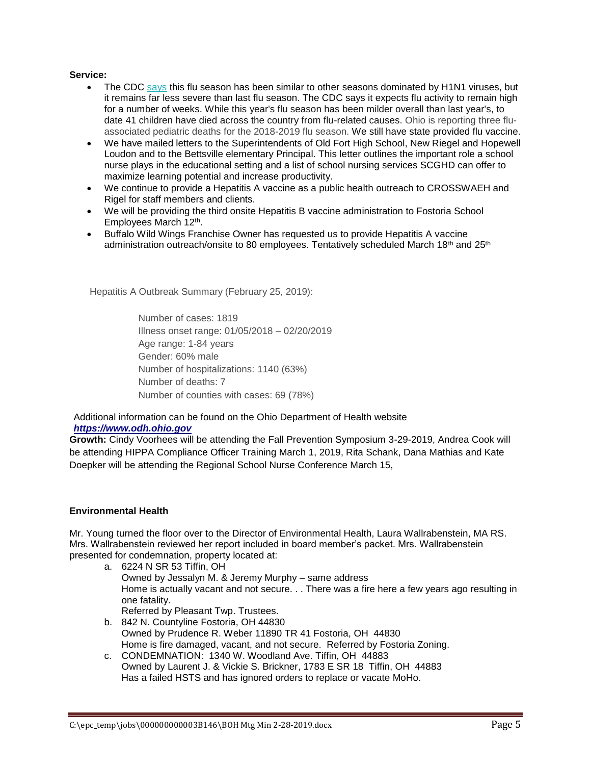# **Service:**

- The CDC [says](https://statnews.us11.list-manage.com/track/click?u=f8609630ae206654824f897b6&id=2d8694a612&e=e98b77fa19) this flu season has been similar to other seasons dominated by H1N1 viruses, but it remains far less severe than last flu season. The CDC says it expects flu activity to remain high for a number of weeks. While this year's flu season has been milder overall than last year's, to date 41 children have died across the country from flu-related causes. Ohio is reporting three fluassociated pediatric deaths for the 2018-2019 flu season. We still have state provided flu vaccine.
- We have mailed letters to the Superintendents of Old Fort High School, New Riegel and Hopewell Loudon and to the Bettsville elementary Principal. This letter outlines the important role a school nurse plays in the educational setting and a list of school nursing services SCGHD can offer to maximize learning potential and increase productivity.
- We continue to provide a Hepatitis A vaccine as a public health outreach to CROSSWAEH and Rigel for staff members and clients.
- We will be providing the third onsite Hepatitis B vaccine administration to Fostoria School Employees March 12<sup>th</sup>.
- Buffalo Wild Wings Franchise Owner has requested us to provide Hepatitis A vaccine administration outreach/onsite to 80 employees. Tentatively scheduled March 18<sup>th</sup> and 25<sup>th</sup>

Hepatitis A Outbreak Summary (February 25, 2019):

Number of cases: 1819 Illness onset range: 01/05/2018 – 02/20/2019 Age range: 1-84 years Gender: 60% male Number of hospitalizations: 1140 (63%) Number of deaths: 7 Number of counties with cases: 69 (78%)

Additional information can be found on the Ohio Department of Health website *[https://www.odh.ohio.gov](https://www.odh.ohio.gov/)*

**Growth:** Cindy Voorhees will be attending the Fall Prevention Symposium 3-29-2019, Andrea Cook will be attending HIPPA Compliance Officer Training March 1, 2019, Rita Schank, Dana Mathias and Kate Doepker will be attending the Regional School Nurse Conference March 15,

## **Environmental Health**

Mr. Young turned the floor over to the Director of Environmental Health, Laura Wallrabenstein, MA RS. Mrs. Wallrabenstein reviewed her report included in board member's packet. Mrs. Wallrabenstein presented for condemnation, property located at:

- a. 6224 N SR 53 Tiffin, OH Owned by Jessalyn M. & Jeremy Murphy – same address Home is actually vacant and not secure. . . There was a fire here a few years ago resulting in one fatality. Referred by Pleasant Twp. Trustees.
	-
- b. 842 N. Countyline Fostoria, OH 44830 Owned by Prudence R. Weber 11890 TR 41 Fostoria, OH 44830 Home is fire damaged, vacant, and not secure. Referred by Fostoria Zoning.
- c. CONDEMNATION: 1340 W. Woodland Ave. Tiffin, OH 44883 Owned by Laurent J. & Vickie S. Brickner, 1783 E SR 18 Tiffin, OH 44883 Has a failed HSTS and has ignored orders to replace or vacate MoHo.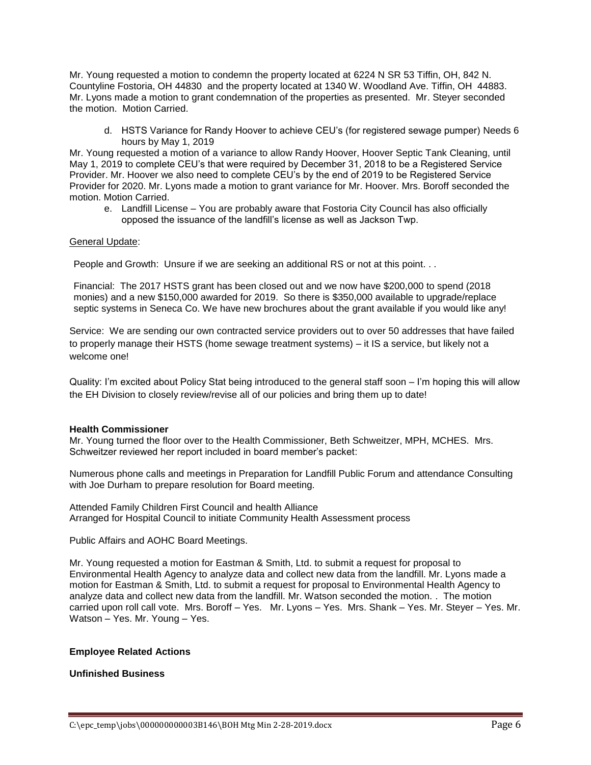Mr. Young requested a motion to condemn the property located at 6224 N SR 53 Tiffin, OH, 842 N. Countyline Fostoria, OH 44830 and the property located at 1340 W. Woodland Ave. Tiffin, OH 44883. Mr. Lyons made a motion to grant condemnation of the properties as presented. Mr. Steyer seconded the motion. Motion Carried.

d. HSTS Variance for Randy Hoover to achieve CEU's (for registered sewage pumper) Needs 6 hours by May 1, 2019

Mr. Young requested a motion of a variance to allow Randy Hoover, Hoover Septic Tank Cleaning, until May 1, 2019 to complete CEU's that were required by December 31, 2018 to be a Registered Service Provider. Mr. Hoover we also need to complete CEU's by the end of 2019 to be Registered Service Provider for 2020. Mr. Lyons made a motion to grant variance for Mr. Hoover. Mrs. Boroff seconded the motion. Motion Carried.

e. Landfill License – You are probably aware that Fostoria City Council has also officially opposed the issuance of the landfill's license as well as Jackson Twp.

## General Update:

People and Growth: Unsure if we are seeking an additional RS or not at this point. . .

Financial: The 2017 HSTS grant has been closed out and we now have \$200,000 to spend (2018 monies) and a new \$150,000 awarded for 2019. So there is \$350,000 available to upgrade/replace septic systems in Seneca Co. We have new brochures about the grant available if you would like any!

Service: We are sending our own contracted service providers out to over 50 addresses that have failed to properly manage their HSTS (home sewage treatment systems) – it IS a service, but likely not a welcome one!

Quality: I'm excited about Policy Stat being introduced to the general staff soon – I'm hoping this will allow the EH Division to closely review/revise all of our policies and bring them up to date!

## **Health Commissioner**

Mr. Young turned the floor over to the Health Commissioner, Beth Schweitzer, MPH, MCHES. Mrs. Schweitzer reviewed her report included in board member's packet:

Numerous phone calls and meetings in Preparation for Landfill Public Forum and attendance Consulting with Joe Durham to prepare resolution for Board meeting.

Attended Family Children First Council and health Alliance Arranged for Hospital Council to initiate Community Health Assessment process

Public Affairs and AOHC Board Meetings.

Mr. Young requested a motion for Eastman & Smith, Ltd. to submit a request for proposal to Environmental Health Agency to analyze data and collect new data from the landfill. Mr. Lyons made a motion for Eastman & Smith, Ltd. to submit a request for proposal to Environmental Health Agency to analyze data and collect new data from the landfill. Mr. Watson seconded the motion. . The motion carried upon roll call vote. Mrs. Boroff – Yes. Mr. Lyons – Yes. Mrs. Shank – Yes. Mr. Steyer – Yes. Mr. Watson – Yes. Mr. Young – Yes.

## **Employee Related Actions**

# **Unfinished Business**